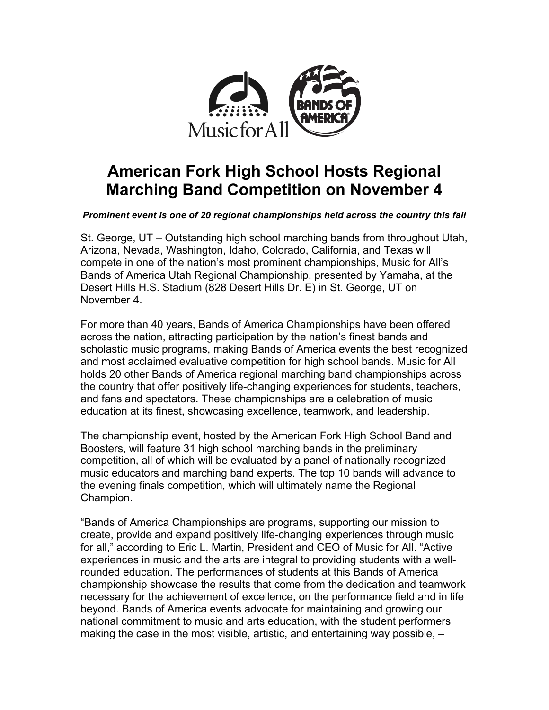

# **American Fork High School Hosts Regional Marching Band Competition on November 4**

*Prominent event is one of 20 regional championships held across the country this fall*

St. George, UT – Outstanding high school marching bands from throughout Utah, Arizona, Nevada, Washington, Idaho, Colorado, California, and Texas will compete in one of the nation's most prominent championships, Music for All's Bands of America Utah Regional Championship, presented by Yamaha, at the Desert Hills H.S. Stadium (828 Desert Hills Dr. E) in St. George, UT on November 4.

For more than 40 years, Bands of America Championships have been offered across the nation, attracting participation by the nation's finest bands and scholastic music programs, making Bands of America events the best recognized and most acclaimed evaluative competition for high school bands. Music for All holds 20 other Bands of America regional marching band championships across the country that offer positively life-changing experiences for students, teachers, and fans and spectators. These championships are a celebration of music education at its finest, showcasing excellence, teamwork, and leadership.

The championship event, hosted by the American Fork High School Band and Boosters, will feature 31 high school marching bands in the preliminary competition, all of which will be evaluated by a panel of nationally recognized music educators and marching band experts. The top 10 bands will advance to the evening finals competition, which will ultimately name the Regional Champion.

"Bands of America Championships are programs, supporting our mission to create, provide and expand positively life-changing experiences through music for all," according to Eric L. Martin, President and CEO of Music for All. "Active experiences in music and the arts are integral to providing students with a wellrounded education. The performances of students at this Bands of America championship showcase the results that come from the dedication and teamwork necessary for the achievement of excellence, on the performance field and in life beyond. Bands of America events advocate for maintaining and growing our national commitment to music and arts education, with the student performers making the case in the most visible, artistic, and entertaining way possible, –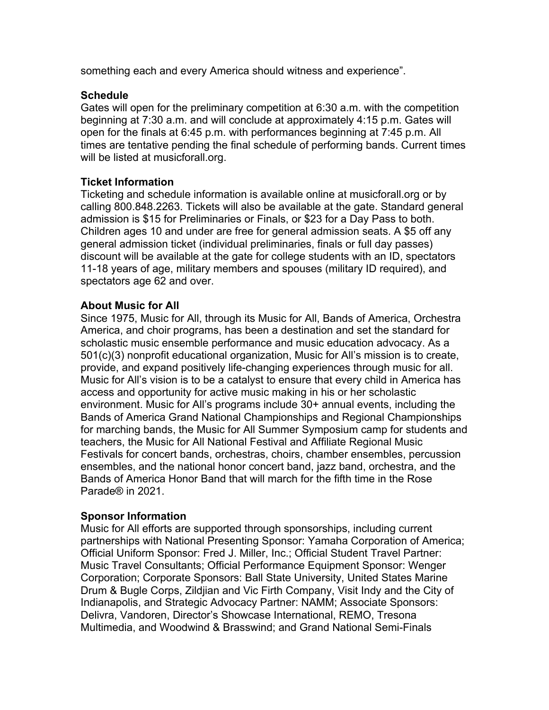something each and every America should witness and experience".

## **Schedule**

Gates will open for the preliminary competition at 6:30 a.m. with the competition beginning at 7:30 a.m. and will conclude at approximately 4:15 p.m. Gates will open for the finals at 6:45 p.m. with performances beginning at 7:45 p.m. All times are tentative pending the final schedule of performing bands. Current times will be listed at musicforall.org.

## **Ticket Information**

Ticketing and schedule information is available online at musicforall.org or by calling 800.848.2263. Tickets will also be available at the gate. Standard general admission is \$15 for Preliminaries or Finals, or \$23 for a Day Pass to both. Children ages 10 and under are free for general admission seats. A \$5 off any general admission ticket (individual preliminaries, finals or full day passes) discount will be available at the gate for college students with an ID, spectators 11-18 years of age, military members and spouses (military ID required), and spectators age 62 and over.

### **About Music for All**

Since 1975, Music for All, through its Music for All, Bands of America, Orchestra America, and choir programs, has been a destination and set the standard for scholastic music ensemble performance and music education advocacy. As a 501(c)(3) nonprofit educational organization, Music for All's mission is to create, provide, and expand positively life-changing experiences through music for all. Music for All's vision is to be a catalyst to ensure that every child in America has access and opportunity for active music making in his or her scholastic environment. Music for All's programs include 30+ annual events, including the Bands of America Grand National Championships and Regional Championships for marching bands, the Music for All Summer Symposium camp for students and teachers, the Music for All National Festival and Affiliate Regional Music Festivals for concert bands, orchestras, choirs, chamber ensembles, percussion ensembles, and the national honor concert band, jazz band, orchestra, and the Bands of America Honor Band that will march for the fifth time in the Rose Parade® in 2021.

## **Sponsor Information**

Music for All efforts are supported through sponsorships, including current partnerships with National Presenting Sponsor: Yamaha Corporation of America; Official Uniform Sponsor: Fred J. Miller, Inc.; Official Student Travel Partner: Music Travel Consultants; Official Performance Equipment Sponsor: Wenger Corporation; Corporate Sponsors: Ball State University, United States Marine Drum & Bugle Corps, Zildjian and Vic Firth Company, Visit Indy and the City of Indianapolis, and Strategic Advocacy Partner: NAMM; Associate Sponsors: Delivra, Vandoren, Director's Showcase International, REMO, Tresona Multimedia, and Woodwind & Brasswind; and Grand National Semi-Finals